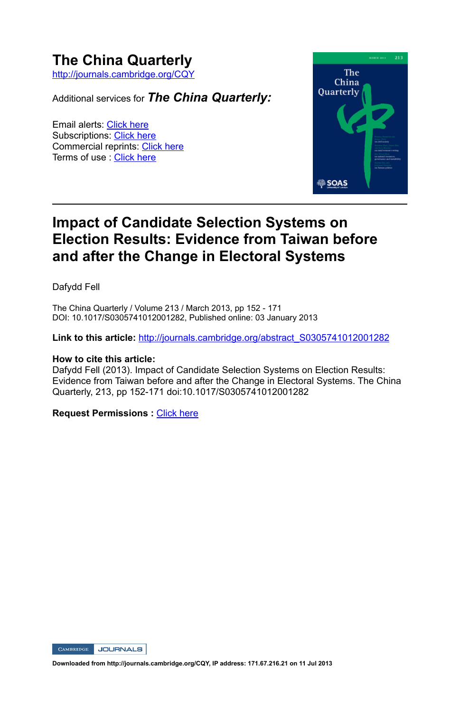## **The China Quarterly**

http://journals.cambridge.org/CQY

Additional services for *The China Quarterly:*

Email alerts: Click here Subscriptions: Click here Commercial reprints: Click here Terms of use : Click here



# **Impact of Candidate Selection Systems on Election Results: Evidence from Taiwan before and after the Change in Electoral Systems**

Dafydd Fell

The China Quarterly / Volume 213 / March 2013, pp 152 171 DOI: 10.1017/S0305741012001282, Published online: 03 January 2013

**Link to this article:** http://journals.cambridge.org/abstract\_S0305741012001282

#### **How to cite this article:**

Dafydd Fell (2013). Impact of Candidate Selection Systems on Election Results: Evidence from Taiwan before and after the Change in Electoral Systems. The China Quarterly, 213, pp 152-171 doi:10.1017/S0305741012001282

**Request Permissions : Click here** 



**Downloaded from http://journals.cambridge.org/CQY, IP address: 171.67.216.21 on 11 Jul 2013**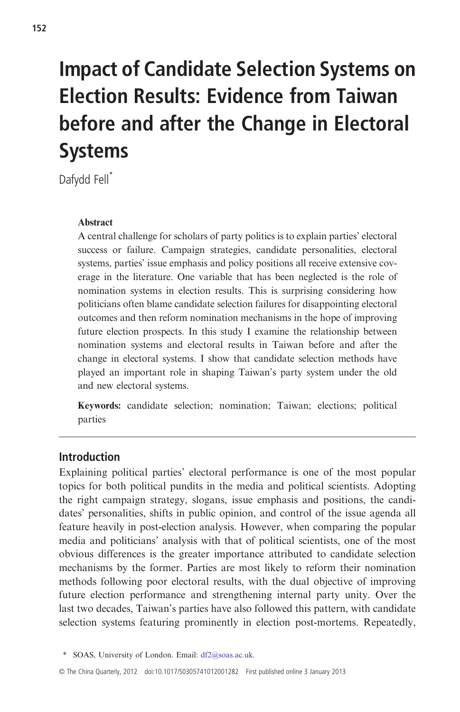# Impact of Candidate Selection Systems on Election Results: Evidence from Taiwan before and after the Change in Electoral Systems

Dafydd Fell\*

#### Abstract

A central challenge for scholars of party politics is to explain parties' electoral success or failure. Campaign strategies, candidate personalities, electoral systems, parties' issue emphasis and policy positions all receive extensive coverage in the literature. One variable that has been neglected is the role of nomination systems in election results. This is surprising considering how politicians often blame candidate selection failures for disappointing electoral outcomes and then reform nomination mechanisms in the hope of improving future election prospects. In this study I examine the relationship between nomination systems and electoral results in Taiwan before and after the change in electoral systems. I show that candidate selection methods have played an important role in shaping Taiwan's party system under the old and new electoral systems.

Keywords: candidate selection; nomination; Taiwan; elections; political parties

### Introduction

Explaining political parties' electoral performance is one of the most popular topics for both political pundits in the media and political scientists. Adopting the right campaign strategy, slogans, issue emphasis and positions, the candidates' personalities, shifts in public opinion, and control of the issue agenda all feature heavily in post-election analysis. However, when comparing the popular media and politicians' analysis with that of political scientists, one of the most obvious differences is the greater importance attributed to candidate selection mechanisms by the former. Parties are most likely to reform their nomination methods following poor electoral results, with the dual objective of improving future election performance and strengthening internal party unity. Over the last two decades, Taiwan's parties have also followed this pattern, with candidate selection systems featuring prominently in election post-mortems. Repeatedly,

<sup>\*</sup> SOAS, University of London. Email: [df2@soas.ac.uk.](mailto:df2@soas.ac.uk)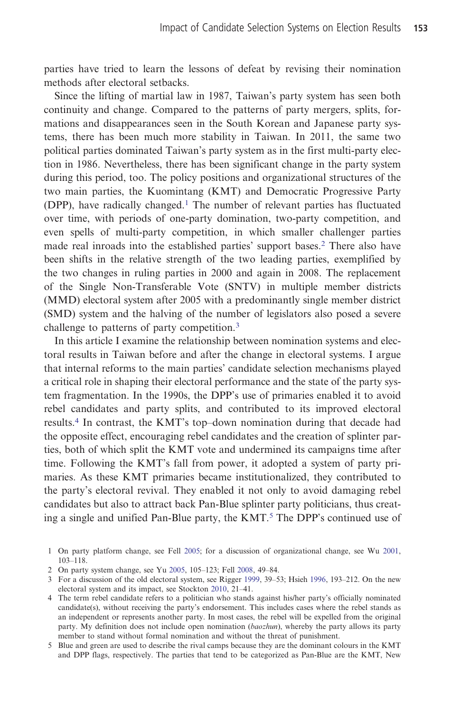parties have tried to learn the lessons of defeat by revising their nomination methods after electoral setbacks.

Since the lifting of martial law in 1987, Taiwan's party system has seen both continuity and change. Compared to the patterns of party mergers, splits, formations and disappearances seen in the South Korean and Japanese party systems, there has been much more stability in Taiwan. In 2011, the same two political parties dominated Taiwan's party system as in the first multi-party election in 1986. Nevertheless, there has been significant change in the party system during this period, too. The policy positions and organizational structures of the two main parties, the Kuomintang (KMT) and Democratic Progressive Party (DPP), have radically changed.<sup>1</sup> The number of relevant parties has fluctuated over time, with periods of one-party domination, two-party competition, and even spells of multi-party competition, in which smaller challenger parties made real inroads into the established parties' support bases.<sup>2</sup> There also have been shifts in the relative strength of the two leading parties, exemplified by the two changes in ruling parties in 2000 and again in 2008. The replacement of the Single Non-Transferable Vote (SNTV) in multiple member districts (MMD) electoral system after 2005 with a predominantly single member district (SMD) system and the halving of the number of legislators also posed a severe challenge to patterns of party competition.<sup>3</sup>

In this article I examine the relationship between nomination systems and electoral results in Taiwan before and after the change in electoral systems. I argue that internal reforms to the main parties' candidate selection mechanisms played a critical role in shaping their electoral performance and the state of the party system fragmentation. In the 1990s, the DPP's use of primaries enabled it to avoid rebel candidates and party splits, and contributed to its improved electoral results.<sup>4</sup> In contrast, the KMT's top–down nomination during that decade had the opposite effect, encouraging rebel candidates and the creation of splinter parties, both of which split the KMT vote and undermined its campaigns time after time. Following the KMT's fall from power, it adopted a system of party primaries. As these KMT primaries became institutionalized, they contributed to the party's electoral revival. They enabled it not only to avoid damaging rebel candidates but also to attract back Pan-Blue splinter party politicians, thus creating a single and unified Pan-Blue party, the KMT.<sup>5</sup> The DPP's continued use of

<sup>1</sup> On party platform change, see Fell 2005; for a discussion of organizational change, see Wu 2001, 103–118.

<sup>2</sup> On party system change, see Yu 2005, 105–123; Fell 2008, 49–84.

<sup>3</sup> For a discussion of the old electoral system, see Rigger 1999, 39–53; Hsieh 1996, 193–212. On the new electoral system and its impact, see Stockton 2010, 21–41.

<sup>4</sup> The term rebel candidate refers to a politician who stands against his/her party's officially nominated candidate(s), without receiving the party's endorsement. This includes cases where the rebel stands as an independent or represents another party. In most cases, the rebel will be expelled from the original party. My definition does not include open nomination (baozhun), whereby the party allows its party member to stand without formal nomination and without the threat of punishment.

<sup>5</sup> Blue and green are used to describe the rival camps because they are the dominant colours in the KMT and DPP flags, respectively. The parties that tend to be categorized as Pan-Blue are the KMT, New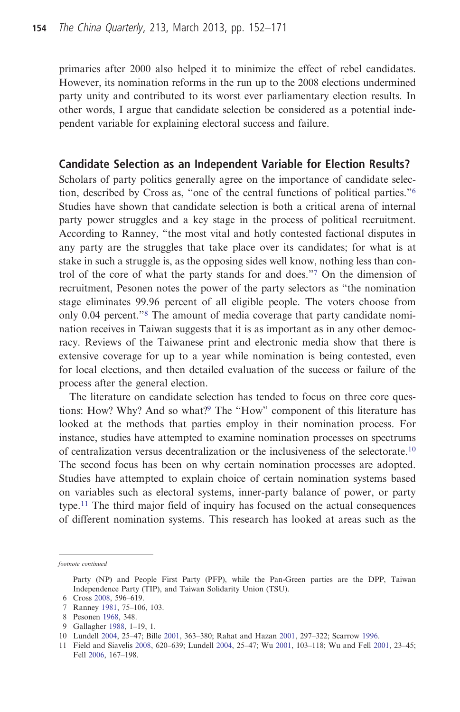primaries after 2000 also helped it to minimize the effect of rebel candidates. However, its nomination reforms in the run up to the 2008 elections undermined party unity and contributed to its worst ever parliamentary election results. In other words, I argue that candidate selection be considered as a potential independent variable for explaining electoral success and failure.

#### Candidate Selection as an Independent Variable for Election Results?

Scholars of party politics generally agree on the importance of candidate selection, described by Cross as, "one of the central functions of political parties."<sup>6</sup> Studies have shown that candidate selection is both a critical arena of internal party power struggles and a key stage in the process of political recruitment. According to Ranney, "the most vital and hotly contested factional disputes in any party are the struggles that take place over its candidates; for what is at stake in such a struggle is, as the opposing sides well know, nothing less than control of the core of what the party stands for and does."<sup>7</sup> On the dimension of recruitment, Pesonen notes the power of the party selectors as "the nomination stage eliminates 99.96 percent of all eligible people. The voters choose from only 0.04 percent."<sup>8</sup> The amount of media coverage that party candidate nomination receives in Taiwan suggests that it is as important as in any other democracy. Reviews of the Taiwanese print and electronic media show that there is extensive coverage for up to a year while nomination is being contested, even for local elections, and then detailed evaluation of the success or failure of the process after the general election.

The literature on candidate selection has tended to focus on three core questions: How? Why? And so what?<sup>9</sup> The "How" component of this literature has looked at the methods that parties employ in their nomination process. For instance, studies have attempted to examine nomination processes on spectrums of centralization versus decentralization or the inclusiveness of the selectorate.<sup>10</sup> The second focus has been on why certain nomination processes are adopted. Studies have attempted to explain choice of certain nomination systems based on variables such as electoral systems, inner-party balance of power, or party type.<sup>11</sup> The third major field of inquiry has focused on the actual consequences of different nomination systems. This research has looked at areas such as the

footnote continued

Party (NP) and People First Party (PFP), while the Pan-Green parties are the DPP, Taiwan Independence Party (TIP), and Taiwan Solidarity Union (TSU).

<sup>6</sup> Cross 2008, 596–619.

<sup>7</sup> Ranney 1981, 75–106, 103.

<sup>8</sup> Pesonen 1968, 348.

<sup>9</sup> Gallagher 1988, 1–19, 1.

<sup>10</sup> Lundell 2004, 25–47; Bille 2001, 363–380; Rahat and Hazan 2001, 297–322; Scarrow 1996.

<sup>11</sup> Field and Siavelis 2008, 620–639; Lundell 2004, 25–47; Wu 2001, 103–118; Wu and Fell 2001, 23–45; Fell 2006, 167–198.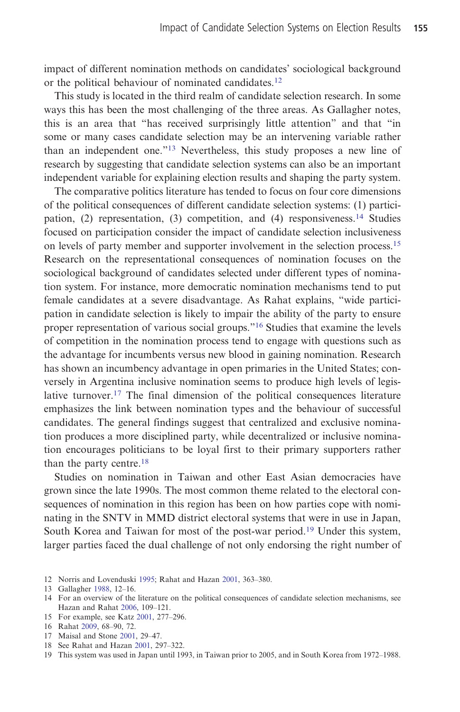impact of different nomination methods on candidates' sociological background or the political behaviour of nominated candidates.12

This study is located in the third realm of candidate selection research. In some ways this has been the most challenging of the three areas. As Gallagher notes, this is an area that "has received surprisingly little attention" and that "in some or many cases candidate selection may be an intervening variable rather than an independent one."<sup>13</sup> Nevertheless, this study proposes a new line of research by suggesting that candidate selection systems can also be an important independent variable for explaining election results and shaping the party system.

The comparative politics literature has tended to focus on four core dimensions of the political consequences of different candidate selection systems: (1) participation,  $(2)$  representation,  $(3)$  competition, and  $(4)$  responsiveness.<sup>14</sup> Studies focused on participation consider the impact of candidate selection inclusiveness on levels of party member and supporter involvement in the selection process.15 Research on the representational consequences of nomination focuses on the sociological background of candidates selected under different types of nomination system. For instance, more democratic nomination mechanisms tend to put female candidates at a severe disadvantage. As Rahat explains, "wide participation in candidate selection is likely to impair the ability of the party to ensure proper representation of various social groups."<sup>16</sup> Studies that examine the levels of competition in the nomination process tend to engage with questions such as the advantage for incumbents versus new blood in gaining nomination. Research has shown an incumbency advantage in open primaries in the United States; conversely in Argentina inclusive nomination seems to produce high levels of legislative turnover.<sup>17</sup> The final dimension of the political consequences literature emphasizes the link between nomination types and the behaviour of successful candidates. The general findings suggest that centralized and exclusive nomination produces a more disciplined party, while decentralized or inclusive nomination encourages politicians to be loyal first to their primary supporters rather than the party centre.<sup>18</sup>

Studies on nomination in Taiwan and other East Asian democracies have grown since the late 1990s. The most common theme related to the electoral consequences of nomination in this region has been on how parties cope with nominating in the SNTV in MMD district electoral systems that were in use in Japan, South Korea and Taiwan for most of the post-war period.<sup>19</sup> Under this system, larger parties faced the dual challenge of not only endorsing the right number of

- 15 For example, see Katz 2001, 277–296.
- 16 Rahat 2009, 68–90, 72.
- 17 Maisal and Stone 2001, 29–47.
- 18 See Rahat and Hazan 2001, 297–322.
- 19 This system was used in Japan until 1993, in Taiwan prior to 2005, and in South Korea from 1972–1988.

<sup>12</sup> Norris and Lovenduski 1995; Rahat and Hazan 2001, 363–380.

<sup>13</sup> Gallagher 1988, 12–16.

<sup>14</sup> For an overview of the literature on the political consequences of candidate selection mechanisms, see Hazan and Rahat 2006, 109–121.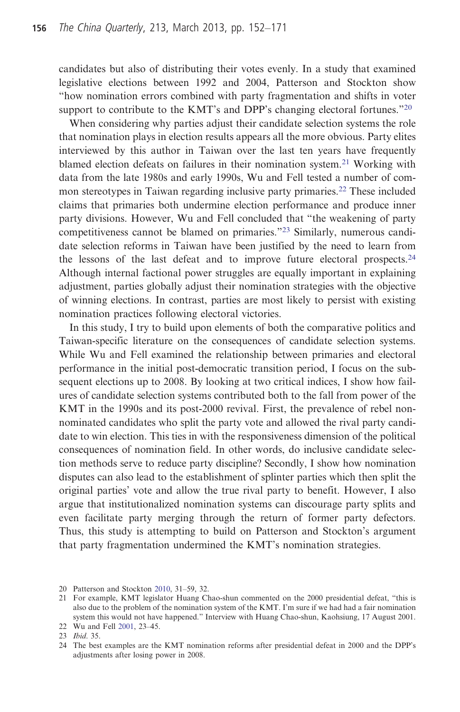candidates but also of distributing their votes evenly. In a study that examined legislative elections between 1992 and 2004, Patterson and Stockton show "how nomination errors combined with party fragmentation and shifts in voter support to contribute to the KMT's and DPP's changing electoral fortunes."<sup>20</sup>

When considering why parties adjust their candidate selection systems the role that nomination plays in election results appears all the more obvious. Party elites interviewed by this author in Taiwan over the last ten years have frequently blamed election defeats on failures in their nomination system.<sup>21</sup> Working with data from the late 1980s and early 1990s, Wu and Fell tested a number of common stereotypes in Taiwan regarding inclusive party primaries.<sup>22</sup> These included claims that primaries both undermine election performance and produce inner party divisions. However, Wu and Fell concluded that "the weakening of party competitiveness cannot be blamed on primaries."<sup>23</sup> Similarly, numerous candidate selection reforms in Taiwan have been justified by the need to learn from the lessons of the last defeat and to improve future electoral prospects.24 Although internal factional power struggles are equally important in explaining adjustment, parties globally adjust their nomination strategies with the objective of winning elections. In contrast, parties are most likely to persist with existing nomination practices following electoral victories.

In this study, I try to build upon elements of both the comparative politics and Taiwan-specific literature on the consequences of candidate selection systems. While Wu and Fell examined the relationship between primaries and electoral performance in the initial post-democratic transition period, I focus on the subsequent elections up to 2008. By looking at two critical indices, I show how failures of candidate selection systems contributed both to the fall from power of the KMT in the 1990s and its post-2000 revival. First, the prevalence of rebel nonnominated candidates who split the party vote and allowed the rival party candidate to win election. This ties in with the responsiveness dimension of the political consequences of nomination field. In other words, do inclusive candidate selection methods serve to reduce party discipline? Secondly, I show how nomination disputes can also lead to the establishment of splinter parties which then split the original parties' vote and allow the true rival party to benefit. However, I also argue that institutionalized nomination systems can discourage party splits and even facilitate party merging through the return of former party defectors. Thus, this study is attempting to build on Patterson and Stockton's argument that party fragmentation undermined the KMT's nomination strategies.

<sup>20</sup> Patterson and Stockton 2010, 31–59, 32.

<sup>21</sup> For example, KMT legislator Huang Chao-shun commented on the 2000 presidential defeat, "this is also due to the problem of the nomination system of the KMT. I'm sure if we had had a fair nomination system this would not have happened." Interview with Huang Chao-shun, Kaohsiung, 17 August 2001.

<sup>22</sup> Wu and Fell 2001, 23–45.

<sup>23</sup> Ibid. 35.

<sup>24</sup> The best examples are the KMT nomination reforms after presidential defeat in 2000 and the DPP's adjustments after losing power in 2008.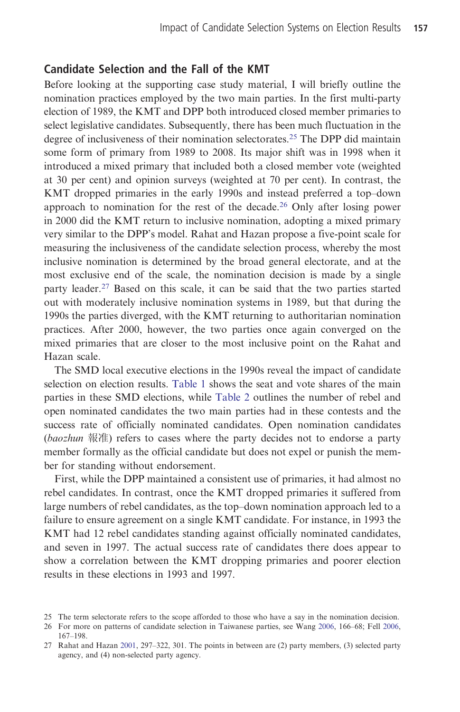#### Candidate Selection and the Fall of the KMT

Before looking at the supporting case study material, I will briefly outline the nomination practices employed by the two main parties. In the first multi-party election of 1989, the KMT and DPP both introduced closed member primaries to select legislative candidates. Subsequently, there has been much fluctuation in the degree of inclusiveness of their nomination selectorates.<sup>25</sup> The DPP did maintain some form of primary from 1989 to 2008. Its major shift was in 1998 when it introduced a mixed primary that included both a closed member vote (weighted at 30 per cent) and opinion surveys (weighted at 70 per cent). In contrast, the KMT dropped primaries in the early 1990s and instead preferred a top–down approach to nomination for the rest of the decade.<sup>26</sup> Only after losing power in 2000 did the KMT return to inclusive nomination, adopting a mixed primary very similar to the DPP's model. Rahat and Hazan propose a five-point scale for measuring the inclusiveness of the candidate selection process, whereby the most inclusive nomination is determined by the broad general electorate, and at the most exclusive end of the scale, the nomination decision is made by a single party leader.<sup>27</sup> Based on this scale, it can be said that the two parties started out with moderately inclusive nomination systems in 1989, but that during the 1990s the parties diverged, with the KMT returning to authoritarian nomination practices. After 2000, however, the two parties once again converged on the mixed primaries that are closer to the most inclusive point on the Rahat and Hazan scale.

The SMD local executive elections in the 1990s reveal the impact of candidate selection on election results. Table 1 shows the seat and vote shares of the main parties in these SMD elections, while Table 2 outlines the number of rebel and open nominated candidates the two main parties had in these contests and the success rate of officially nominated candidates. Open nomination candidates (baozhun 報准) refers to cases where the party decides not to endorse a party member formally as the official candidate but does not expel or punish the member for standing without endorsement.

First, while the DPP maintained a consistent use of primaries, it had almost no rebel candidates. In contrast, once the KMT dropped primaries it suffered from large numbers of rebel candidates, as the top–down nomination approach led to a failure to ensure agreement on a single KMT candidate. For instance, in 1993 the KMT had 12 rebel candidates standing against officially nominated candidates, and seven in 1997. The actual success rate of candidates there does appear to show a correlation between the KMT dropping primaries and poorer election results in these elections in 1993 and 1997.

25 The term selectorate refers to the scope afforded to those who have a say in the nomination decision.

<sup>26</sup> For more on patterns of candidate selection in Taiwanese parties, see Wang 2006, 166–68; Fell 2006, 167–198.

<sup>27</sup> Rahat and Hazan 2001, 297–322, 301. The points in between are (2) party members, (3) selected party agency, and (4) non-selected party agency.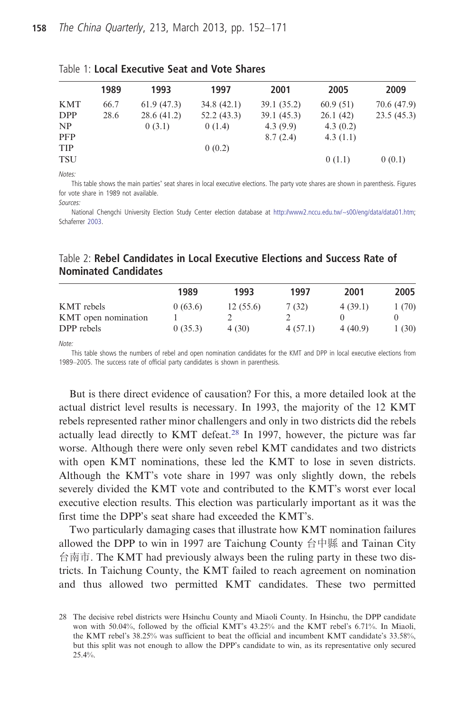|            | 1989 | 1993        | 1997       | 2001        | 2005     | 2009        |
|------------|------|-------------|------------|-------------|----------|-------------|
| <b>KMT</b> | 66.7 | 61.9(47.3)  | 34.8(42.1) | 39.1 (35.2) | 60.9(51) | 70.6 (47.9) |
| <b>DPP</b> | 28.6 | 28.6 (41.2) | 52.2(43.3) | 39.1(45.3)  | 26.1(42) | 23.5(45.3)  |
| NP         |      | 0(3.1)      | 0(1.4)     | 4.3(9.9)    | 4.3(0.2) |             |
| <b>PFP</b> |      |             |            | 8.7(2.4)    | 4.3(1.1) |             |
| <b>TIP</b> |      |             | 0(0.2)     |             |          |             |
| <b>TSU</b> |      |             |            |             | 0(1.1)   | 0(0.1)      |
|            |      |             |            |             |          |             |

Notes:

This table shows the main parties' seat shares in local executive elections. The party vote shares are shown in parenthesis. Figures for vote share in 1989 not available.

Sources:

National Chengchi University Election Study Center election database at [http://www2.nccu.edu.tw/~s00/eng/data/data01.htm;](http://www2.nccu.edu.tw/~s00/eng/data/data01.htm) Schaferrer 2003.

### Table 2: Rebel Candidates in Local Executive Elections and Success Rate of Nominated Candidates

|                     | 1989    | 1993     | 1997    | 2001    | 2005   |
|---------------------|---------|----------|---------|---------|--------|
| KMT rebels          | 0(63.6) | 12(55.6) | 7(32)   | 4(39.1) | 1 (70) |
| KMT open nomination |         |          |         |         |        |
| DPP rebels          | 0(35.3) | 4 (30)   | 4(57.1) | 4(40.9) | (30)   |

Note:

This table shows the numbers of rebel and open nomination candidates for the KMT and DPP in local executive elections from 1989–2005. The success rate of official party candidates is shown in parenthesis.

But is there direct evidence of causation? For this, a more detailed look at the actual district level results is necessary. In 1993, the majority of the 12 KMT rebels represented rather minor challengers and only in two districts did the rebels actually lead directly to KMT defeat.<sup>28</sup> In 1997, however, the picture was far worse. Although there were only seven rebel KMT candidates and two districts with open KMT nominations, these led the KMT to lose in seven districts. Although the KMT's vote share in 1997 was only slightly down, the rebels severely divided the KMT vote and contributed to the KMT's worst ever local executive election results. This election was particularly important as it was the first time the DPP's seat share had exceeded the KMT's.

Two particularly damaging cases that illustrate how KMT nomination failures allowed the DPP to win in 1997 are Taichung County 台中縣 and Tainan City 台南市. The KMT had previously always been the ruling party in these two districts. In Taichung County, the KMT failed to reach agreement on nomination and thus allowed two permitted KMT candidates. These two permitted

<sup>28</sup> The decisive rebel districts were Hsinchu County and Miaoli County. In Hsinchu, the DPP candidate won with 50.04%, followed by the official KMT's 43.25% and the KMT rebel's 6.71%. In Miaoli, the KMT rebel's 38.25% was sufficient to beat the official and incumbent KMT candidate's 33.58%, but this split was not enough to allow the DPP's candidate to win, as its representative only secured 25.4%.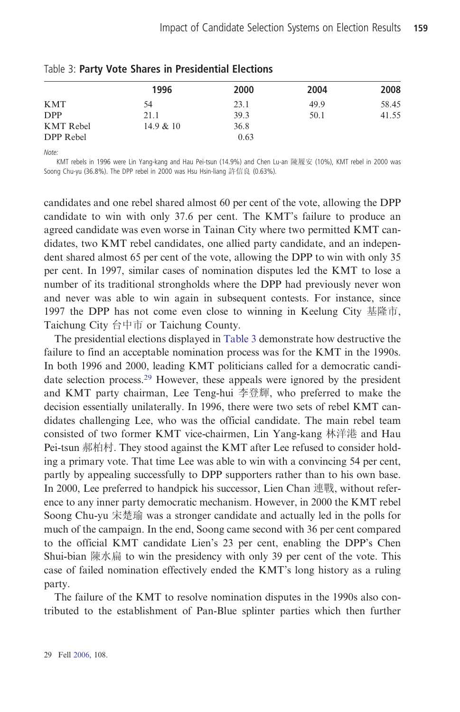| 1996        | 2000 | 2004 | 2008  |
|-------------|------|------|-------|
| 54          | 23.1 | 49.9 | 58.45 |
| 21.1        | 39.3 | 50.1 | 41.55 |
| 14.9 $& 10$ | 36.8 |      |       |
|             | 0.63 |      |       |
|             |      |      |       |

Table 3: Party Vote Shares in Presidential Elections

Note:

KMT rebels in 1996 were Lin Yang-kang and Hau Pei-tsun (14.9%) and Chen Lu-an 陳履安 (10%), KMT rebel in 2000 was Soong Chu-yu (36.8%). The DPP rebel in 2000 was Hsu Hsin-liang 許信良 (0.63%).

candidates and one rebel shared almost 60 per cent of the vote, allowing the DPP candidate to win with only 37.6 per cent. The KMT's failure to produce an agreed candidate was even worse in Tainan City where two permitted KMT candidates, two KMT rebel candidates, one allied party candidate, and an independent shared almost 65 per cent of the vote, allowing the DPP to win with only 35 per cent. In 1997, similar cases of nomination disputes led the KMT to lose a number of its traditional strongholds where the DPP had previously never won and never was able to win again in subsequent contests. For instance, since 1997 the DPP has not come even close to winning in Keelung City 基隆市, Taichung City 台中市 or Taichung County.

The presidential elections displayed in Table 3 demonstrate how destructive the failure to find an acceptable nomination process was for the KMT in the 1990s. In both 1996 and 2000, leading KMT politicians called for a democratic candidate selection process.<sup>29</sup> However, these appeals were ignored by the president and KMT party chairman, Lee Teng-hui 李登輝, who preferred to make the decision essentially unilaterally. In 1996, there were two sets of rebel KMT candidates challenging Lee, who was the official candidate. The main rebel team consisted of two former KMT vice-chairmen, Lin Yang-kang 林洋港 and Hau Pei-tsun 郝柏村. They stood against the KMT after Lee refused to consider holding a primary vote. That time Lee was able to win with a convincing 54 per cent, partly by appealing successfully to DPP supporters rather than to his own base. In 2000, Lee preferred to handpick his successor, Lien Chan 連戰, without reference to any inner party democratic mechanism. However, in 2000 the KMT rebel Soong Chu-yu 宋楚瑜 was a stronger candidate and actually led in the polls for much of the campaign. In the end, Soong came second with 36 per cent compared to the official KMT candidate Lien's 23 per cent, enabling the DPP's Chen Shui-bian 陳水扁 to win the presidency with only 39 per cent of the vote. This case of failed nomination effectively ended the KMT's long history as a ruling party.

The failure of the KMT to resolve nomination disputes in the 1990s also contributed to the establishment of Pan-Blue splinter parties which then further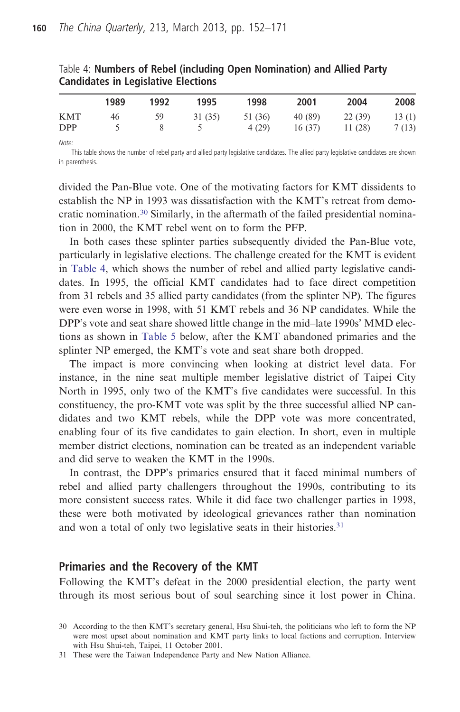|            | 1989 | 1992 | 1995 | 1998              | 2001    | 2004           | 2008   |
|------------|------|------|------|-------------------|---------|----------------|--------|
| <b>KMT</b> | 46   | 59   |      | $31(35)$ $51(36)$ | 40 (89) | $22(39)$ 13(1) |        |
| <b>DPP</b> |      | X.   |      | 4 (29)            | 16(37)  | 11 (28)        | 7 (13) |

| Table 4: Numbers of Rebel (including Open Nomination) and Allied Party |  |  |
|------------------------------------------------------------------------|--|--|
| <b>Candidates in Legislative Elections</b>                             |  |  |

Note:

This table shows the number of rebel party and allied party legislative candidates. The allied party legislative candidates are shown in parenthesis.

divided the Pan-Blue vote. One of the motivating factors for KMT dissidents to establish the NP in 1993 was dissatisfaction with the KMT's retreat from democratic nomination.30 Similarly, in the aftermath of the failed presidential nomination in 2000, the KMT rebel went on to form the PFP.

In both cases these splinter parties subsequently divided the Pan-Blue vote, particularly in legislative elections. The challenge created for the KMT is evident in Table 4, which shows the number of rebel and allied party legislative candidates. In 1995, the official KMT candidates had to face direct competition from 31 rebels and 35 allied party candidates (from the splinter NP). The figures were even worse in 1998, with 51 KMT rebels and 36 NP candidates. While the DPP's vote and seat share showed little change in the mid–late 1990s' MMD elections as shown in Table 5 below, after the KMT abandoned primaries and the splinter NP emerged, the KMT's vote and seat share both dropped.

The impact is more convincing when looking at district level data. For instance, in the nine seat multiple member legislative district of Taipei City North in 1995, only two of the KMT's five candidates were successful. In this constituency, the pro-KMT vote was split by the three successful allied NP candidates and two KMT rebels, while the DPP vote was more concentrated, enabling four of its five candidates to gain election. In short, even in multiple member district elections, nomination can be treated as an independent variable and did serve to weaken the KMT in the 1990s.

In contrast, the DPP's primaries ensured that it faced minimal numbers of rebel and allied party challengers throughout the 1990s, contributing to its more consistent success rates. While it did face two challenger parties in 1998, these were both motivated by ideological grievances rather than nomination and won a total of only two legislative seats in their histories.<sup>31</sup>

#### Primaries and the Recovery of the KMT

Following the KMT's defeat in the 2000 presidential election, the party went through its most serious bout of soul searching since it lost power in China.

<sup>30</sup> According to the then KMT's secretary general, Hsu Shui-teh, the politicians who left to form the NP were most upset about nomination and KMT party links to local factions and corruption. Interview with Hsu Shui-teh, Taipei, 11 October 2001.

<sup>31</sup> These were the Taiwan Independence Party and New Nation Alliance.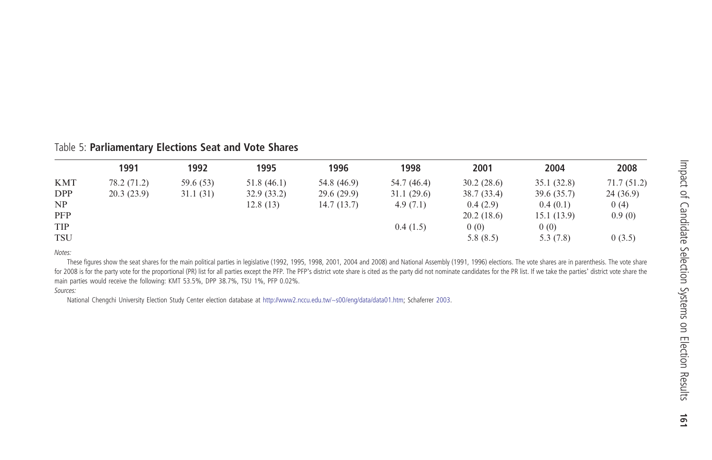#### Table 5: Parliamentary Elections Seat and Vote Shares

|            | 1991        | 1992      | 1995       | 1996        | 1998        | 2001        | 2004        | 2008       |
|------------|-------------|-----------|------------|-------------|-------------|-------------|-------------|------------|
| <b>KMT</b> | 78.2 (71.2) | 59.6 (53) | 51.8(46.1) | 54.8 (46.9) | 54.7 (46.4) | 30.2(28.6)  | 35.1 (32.8) | 71.7(51.2) |
| <b>DPP</b> | 20.3(23.9)  | 31.1(31)  | 32.9(33.2) | 29.6(29.9)  | 31.1(29.6)  | 38.7 (33.4) | 39.6(35.7)  | 24(36.9)   |
| NP         |             |           | 12.8 (13)  | 14.7(13.7)  | 4.9(7.1)    | 0.4(2.9)    | 0.4(0.1)    | 0(4)       |
| <b>PFP</b> |             |           |            |             |             | 20.2(18.6)  | 15.1(13.9)  | 0.9(0)     |
| <b>TIP</b> |             |           |            |             | 0.4(1.5)    | 0(0)        | 0(0)        |            |
| TSU        |             |           |            |             |             | 5.8(8.5)    | 5.3(7.8)    | 0(3.5)     |

#### Notes:

These figures show the seat shares for the main political parties in legislative (1992, 1995, 1998, 2001, 2004 and 2008) and National Assembly (1991, 1996) elections. The vote shares are in parenthesis. The vote share for 2008 is for the party vote for the proportional (PR) list for all parties except the PFP. The PFP's district vote share is cited as the party did not nominate candidates for the PR list. If we take the parties' distric main parties would receive the following: KMT 53.5%, DPP 38.7%, TSU 1%, PFP 0.02%.

#### Sources:

National Chengchi University Election Study Center election database at [http://www2.nccu.edu.tw/~s00/eng/data/data01.htm;](http://www2.nccu.edu.tw/~s00/eng/data/data01.htm) Schaferrer 2003.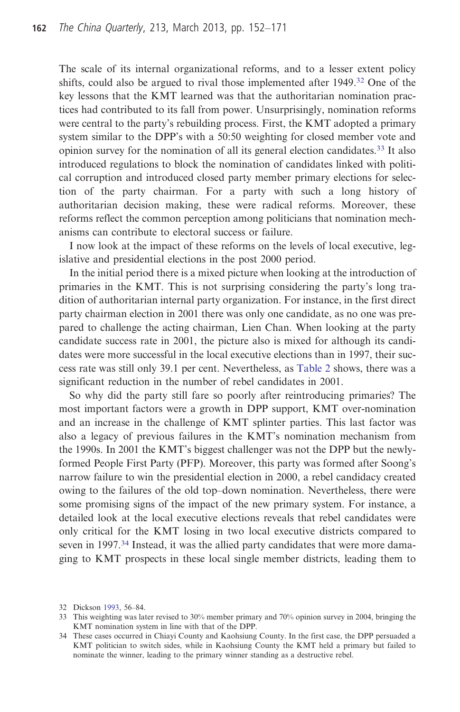The scale of its internal organizational reforms, and to a lesser extent policy shifts, could also be argued to rival those implemented after 1949.<sup>32</sup> One of the key lessons that the KMT learned was that the authoritarian nomination practices had contributed to its fall from power. Unsurprisingly, nomination reforms were central to the party's rebuilding process. First, the KMT adopted a primary system similar to the DPP's with a 50:50 weighting for closed member vote and opinion survey for the nomination of all its general election candidates.33 It also introduced regulations to block the nomination of candidates linked with political corruption and introduced closed party member primary elections for selection of the party chairman. For a party with such a long history of authoritarian decision making, these were radical reforms. Moreover, these reforms reflect the common perception among politicians that nomination mechanisms can contribute to electoral success or failure.

I now look at the impact of these reforms on the levels of local executive, legislative and presidential elections in the post 2000 period.

In the initial period there is a mixed picture when looking at the introduction of primaries in the KMT. This is not surprising considering the party's long tradition of authoritarian internal party organization. For instance, in the first direct party chairman election in 2001 there was only one candidate, as no one was prepared to challenge the acting chairman, Lien Chan. When looking at the party candidate success rate in 2001, the picture also is mixed for although its candidates were more successful in the local executive elections than in 1997, their success rate was still only 39.1 per cent. Nevertheless, as Table 2 shows, there was a significant reduction in the number of rebel candidates in 2001.

So why did the party still fare so poorly after reintroducing primaries? The most important factors were a growth in DPP support, KMT over-nomination and an increase in the challenge of KMT splinter parties. This last factor was also a legacy of previous failures in the KMT's nomination mechanism from the 1990s. In 2001 the KMT's biggest challenger was not the DPP but the newlyformed People First Party (PFP). Moreover, this party was formed after Soong's narrow failure to win the presidential election in 2000, a rebel candidacy created owing to the failures of the old top–down nomination. Nevertheless, there were some promising signs of the impact of the new primary system. For instance, a detailed look at the local executive elections reveals that rebel candidates were only critical for the KMT losing in two local executive districts compared to seven in 1997.<sup>34</sup> Instead, it was the allied party candidates that were more damaging to KMT prospects in these local single member districts, leading them to

<sup>32</sup> Dickson 1993, 56–84.

<sup>33</sup> This weighting was later revised to 30% member primary and 70% opinion survey in 2004, bringing the KMT nomination system in line with that of the DPP.

<sup>34</sup> These cases occurred in Chiayi County and Kaohsiung County. In the first case, the DPP persuaded a KMT politician to switch sides, while in Kaohsiung County the KMT held a primary but failed to nominate the winner, leading to the primary winner standing as a destructive rebel.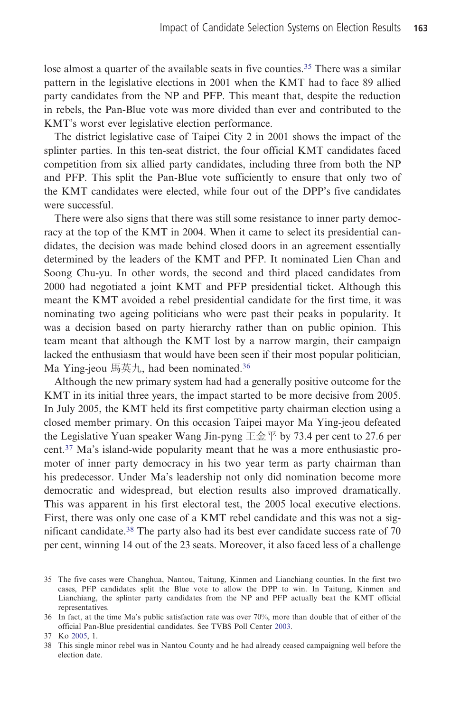lose almost a quarter of the available seats in five counties.<sup>35</sup> There was a similar pattern in the legislative elections in 2001 when the KMT had to face 89 allied party candidates from the NP and PFP. This meant that, despite the reduction in rebels, the Pan-Blue vote was more divided than ever and contributed to the KMT's worst ever legislative election performance.

The district legislative case of Taipei City 2 in 2001 shows the impact of the splinter parties. In this ten-seat district, the four official KMT candidates faced competition from six allied party candidates, including three from both the NP and PFP. This split the Pan-Blue vote sufficiently to ensure that only two of the KMT candidates were elected, while four out of the DPP's five candidates were successful.

There were also signs that there was still some resistance to inner party democracy at the top of the KMT in 2004. When it came to select its presidential candidates, the decision was made behind closed doors in an agreement essentially determined by the leaders of the KMT and PFP. It nominated Lien Chan and Soong Chu-yu. In other words, the second and third placed candidates from 2000 had negotiated a joint KMT and PFP presidential ticket. Although this meant the KMT avoided a rebel presidential candidate for the first time, it was nominating two ageing politicians who were past their peaks in popularity. It was a decision based on party hierarchy rather than on public opinion. This team meant that although the KMT lost by a narrow margin, their campaign lacked the enthusiasm that would have been seen if their most popular politician, Ma Ying-jeou 馬英九, had been nominated.36

Although the new primary system had had a generally positive outcome for the KMT in its initial three years, the impact started to be more decisive from 2005. In July 2005, the KMT held its first competitive party chairman election using a closed member primary. On this occasion Taipei mayor Ma Ying-jeou defeated the Legislative Yuan speaker Wang Jin-pyng  $\pm \pm \frac{1}{2}$  by 73.4 per cent to 27.6 per cent.<sup>37</sup> Ma's island-wide popularity meant that he was a more enthusiastic promoter of inner party democracy in his two year term as party chairman than his predecessor. Under Ma's leadership not only did nomination become more democratic and widespread, but election results also improved dramatically. This was apparent in his first electoral test, the 2005 local executive elections. First, there was only one case of a KMT rebel candidate and this was not a significant candidate.38 The party also had its best ever candidate success rate of 70 per cent, winning 14 out of the 23 seats. Moreover, it also faced less of a challenge

<sup>35</sup> The five cases were Changhua, Nantou, Taitung, Kinmen and Lianchiang counties. In the first two cases, PFP candidates split the Blue vote to allow the DPP to win. In Taitung, Kinmen and Lianchiang, the splinter party candidates from the NP and PFP actually beat the KMT official representatives.

<sup>36</sup> In fact, at the time Ma's public satisfaction rate was over 70%, more than double that of either of the official Pan-Blue presidential candidates. See TVBS Poll Center 2003.

<sup>37</sup> Ko 2005, 1.

<sup>38</sup> This single minor rebel was in Nantou County and he had already ceased campaigning well before the election date.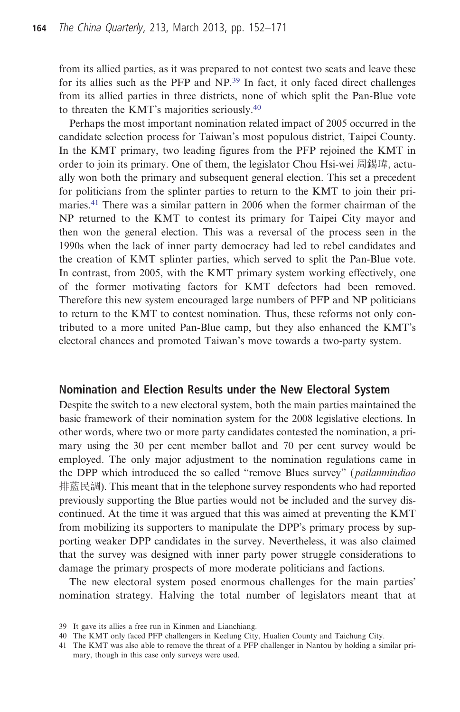from its allied parties, as it was prepared to not contest two seats and leave these for its allies such as the PFP and NP.<sup>39</sup> In fact, it only faced direct challenges from its allied parties in three districts, none of which split the Pan-Blue vote to threaten the KMT's majorities seriously.40

Perhaps the most important nomination related impact of 2005 occurred in the candidate selection process for Taiwan's most populous district, Taipei County. In the KMT primary, two leading figures from the PFP rejoined the KMT in order to join its primary. One of them, the legislator Chou Hsi-wei 周錫瑋, actually won both the primary and subsequent general election. This set a precedent for politicians from the splinter parties to return to the KMT to join their primaries.<sup>41</sup> There was a similar pattern in 2006 when the former chairman of the NP returned to the KMT to contest its primary for Taipei City mayor and then won the general election. This was a reversal of the process seen in the 1990s when the lack of inner party democracy had led to rebel candidates and the creation of KMT splinter parties, which served to split the Pan-Blue vote. In contrast, from 2005, with the KMT primary system working effectively, one of the former motivating factors for KMT defectors had been removed. Therefore this new system encouraged large numbers of PFP and NP politicians to return to the KMT to contest nomination. Thus, these reforms not only contributed to a more united Pan-Blue camp, but they also enhanced the KMT's electoral chances and promoted Taiwan's move towards a two-party system.

#### Nomination and Election Results under the New Electoral System

Despite the switch to a new electoral system, both the main parties maintained the basic framework of their nomination system for the 2008 legislative elections. In other words, where two or more party candidates contested the nomination, a primary using the 30 per cent member ballot and 70 per cent survey would be employed. The only major adjustment to the nomination regulations came in the DPP which introduced the so called "remove Blues survey" ( pailanmindiao 排藍民調). This meant that in the telephone survey respondents who had reported previously supporting the Blue parties would not be included and the survey discontinued. At the time it was argued that this was aimed at preventing the KMT from mobilizing its supporters to manipulate the DPP's primary process by supporting weaker DPP candidates in the survey. Nevertheless, it was also claimed that the survey was designed with inner party power struggle considerations to damage the primary prospects of more moderate politicians and factions.

The new electoral system posed enormous challenges for the main parties' nomination strategy. Halving the total number of legislators meant that at

<sup>39</sup> It gave its allies a free run in Kinmen and Lianchiang.

<sup>40</sup> The KMT only faced PFP challengers in Keelung City, Hualien County and Taichung City.

<sup>41</sup> The KMT was also able to remove the threat of a PFP challenger in Nantou by holding a similar primary, though in this case only surveys were used.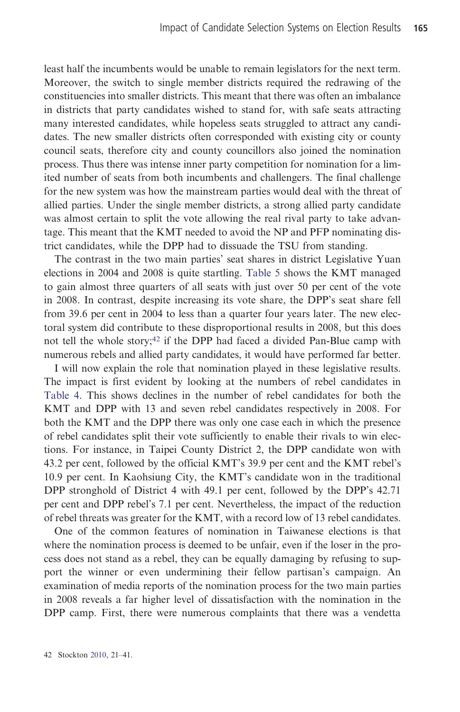least half the incumbents would be unable to remain legislators for the next term. Moreover, the switch to single member districts required the redrawing of the constituencies into smaller districts. This meant that there was often an imbalance in districts that party candidates wished to stand for, with safe seats attracting many interested candidates, while hopeless seats struggled to attract any candidates. The new smaller districts often corresponded with existing city or county council seats, therefore city and county councillors also joined the nomination process. Thus there was intense inner party competition for nomination for a limited number of seats from both incumbents and challengers. The final challenge for the new system was how the mainstream parties would deal with the threat of allied parties. Under the single member districts, a strong allied party candidate was almost certain to split the vote allowing the real rival party to take advantage. This meant that the KMT needed to avoid the NP and PFP nominating district candidates, while the DPP had to dissuade the TSU from standing.

The contrast in the two main parties' seat shares in district Legislative Yuan elections in 2004 and 2008 is quite startling. Table 5 shows the KMT managed to gain almost three quarters of all seats with just over 50 per cent of the vote in 2008. In contrast, despite increasing its vote share, the DPP's seat share fell from 39.6 per cent in 2004 to less than a quarter four years later. The new electoral system did contribute to these disproportional results in 2008, but this does not tell the whole story; $42$  if the DPP had faced a divided Pan-Blue camp with numerous rebels and allied party candidates, it would have performed far better.

I will now explain the role that nomination played in these legislative results. The impact is first evident by looking at the numbers of rebel candidates in Table 4. This shows declines in the number of rebel candidates for both the KMT and DPP with 13 and seven rebel candidates respectively in 2008. For both the KMT and the DPP there was only one case each in which the presence of rebel candidates split their vote sufficiently to enable their rivals to win elections. For instance, in Taipei County District 2, the DPP candidate won with 43.2 per cent, followed by the official KMT's 39.9 per cent and the KMT rebel's 10.9 per cent. In Kaohsiung City, the KMT's candidate won in the traditional DPP stronghold of District 4 with 49.1 per cent, followed by the DPP's 42.71 per cent and DPP rebel's 7.1 per cent. Nevertheless, the impact of the reduction of rebel threats was greater for the KMT, with a record low of 13 rebel candidates.

One of the common features of nomination in Taiwanese elections is that where the nomination process is deemed to be unfair, even if the loser in the process does not stand as a rebel, they can be equally damaging by refusing to support the winner or even undermining their fellow partisan's campaign. An examination of media reports of the nomination process for the two main parties in 2008 reveals a far higher level of dissatisfaction with the nomination in the DPP camp. First, there were numerous complaints that there was a vendetta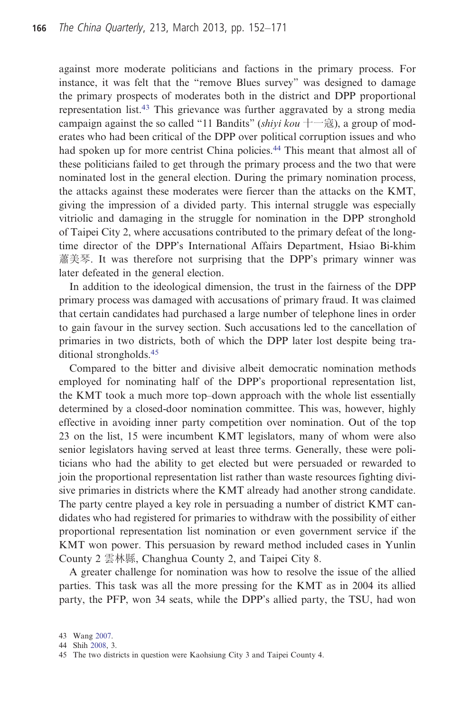against more moderate politicians and factions in the primary process. For instance, it was felt that the "remove Blues survey" was designed to damage the primary prospects of moderates both in the district and DPP proportional representation list.43 This grievance was further aggravated by a strong media campaign against the so called "11 Bandits" (shiyi kou  $+-\ddot{\mathcal{B}}$ ), a group of moderates who had been critical of the DPP over political corruption issues and who had spoken up for more centrist China policies.<sup>44</sup> This meant that almost all of these politicians failed to get through the primary process and the two that were nominated lost in the general election. During the primary nomination process, the attacks against these moderates were fiercer than the attacks on the KMT, giving the impression of a divided party. This internal struggle was especially vitriolic and damaging in the struggle for nomination in the DPP stronghold of Taipei City 2, where accusations contributed to the primary defeat of the longtime director of the DPP's International Affairs Department, Hsiao Bi-khim 蕭美琴. It was therefore not surprising that the DPP's primary winner was later defeated in the general election.

In addition to the ideological dimension, the trust in the fairness of the DPP primary process was damaged with accusations of primary fraud. It was claimed that certain candidates had purchased a large number of telephone lines in order to gain favour in the survey section. Such accusations led to the cancellation of primaries in two districts, both of which the DPP later lost despite being traditional strongholds.<sup>45</sup>

Compared to the bitter and divisive albeit democratic nomination methods employed for nominating half of the DPP's proportional representation list, the KMT took a much more top–down approach with the whole list essentially determined by a closed-door nomination committee. This was, however, highly effective in avoiding inner party competition over nomination. Out of the top 23 on the list, 15 were incumbent KMT legislators, many of whom were also senior legislators having served at least three terms. Generally, these were politicians who had the ability to get elected but were persuaded or rewarded to join the proportional representation list rather than waste resources fighting divisive primaries in districts where the KMT already had another strong candidate. The party centre played a key role in persuading a number of district KMT candidates who had registered for primaries to withdraw with the possibility of either proportional representation list nomination or even government service if the KMT won power. This persuasion by reward method included cases in Yunlin County 2 雲林縣, Changhua County 2, and Taipei City 8.

A greater challenge for nomination was how to resolve the issue of the allied parties. This task was all the more pressing for the KMT as in 2004 its allied party, the PFP, won 34 seats, while the DPP's allied party, the TSU, had won

<sup>43</sup> Wang 2007.

<sup>44</sup> Shih 2008, 3.

<sup>45</sup> The two districts in question were Kaohsiung City 3 and Taipei County 4.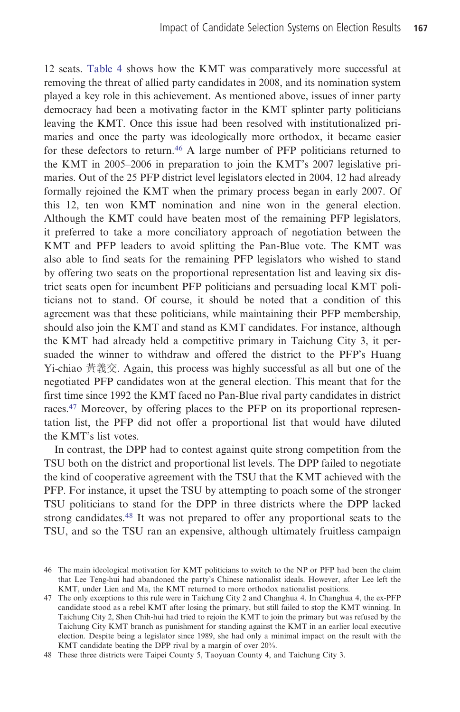12 seats. Table 4 shows how the KMT was comparatively more successful at removing the threat of allied party candidates in 2008, and its nomination system played a key role in this achievement. As mentioned above, issues of inner party democracy had been a motivating factor in the KMT splinter party politicians leaving the KMT. Once this issue had been resolved with institutionalized primaries and once the party was ideologically more orthodox, it became easier for these defectors to return.<sup>46</sup> A large number of PFP politicians returned to the KMT in 2005–2006 in preparation to join the KMT's 2007 legislative primaries. Out of the 25 PFP district level legislators elected in 2004, 12 had already formally rejoined the KMT when the primary process began in early 2007. Of this 12, ten won KMT nomination and nine won in the general election. Although the KMT could have beaten most of the remaining PFP legislators, it preferred to take a more conciliatory approach of negotiation between the KMT and PFP leaders to avoid splitting the Pan-Blue vote. The KMT was also able to find seats for the remaining PFP legislators who wished to stand by offering two seats on the proportional representation list and leaving six district seats open for incumbent PFP politicians and persuading local KMT politicians not to stand. Of course, it should be noted that a condition of this agreement was that these politicians, while maintaining their PFP membership, should also join the KMT and stand as KMT candidates. For instance, although the KMT had already held a competitive primary in Taichung City 3, it persuaded the winner to withdraw and offered the district to the PFP's Huang Yi-chiao 黃義交. Again, this process was highly successful as all but one of the negotiated PFP candidates won at the general election. This meant that for the first time since 1992 the KMT faced no Pan-Blue rival party candidates in district races.47 Moreover, by offering places to the PFP on its proportional representation list, the PFP did not offer a proportional list that would have diluted the KMT's list votes.

In contrast, the DPP had to contest against quite strong competition from the TSU both on the district and proportional list levels. The DPP failed to negotiate the kind of cooperative agreement with the TSU that the KMT achieved with the PFP. For instance, it upset the TSU by attempting to poach some of the stronger TSU politicians to stand for the DPP in three districts where the DPP lacked strong candidates.<sup>48</sup> It was not prepared to offer any proportional seats to the TSU, and so the TSU ran an expensive, although ultimately fruitless campaign

<sup>46</sup> The main ideological motivation for KMT politicians to switch to the NP or PFP had been the claim that Lee Teng-hui had abandoned the party's Chinese nationalist ideals. However, after Lee left the KMT, under Lien and Ma, the KMT returned to more orthodox nationalist positions.

<sup>47</sup> The only exceptions to this rule were in Taichung City 2 and Changhua 4. In Changhua 4, the ex-PFP candidate stood as a rebel KMT after losing the primary, but still failed to stop the KMT winning. In Taichung City 2, Shen Chih-hui had tried to rejoin the KMT to join the primary but was refused by the Taichung City KMT branch as punishment for standing against the KMT in an earlier local executive election. Despite being a legislator since 1989, she had only a minimal impact on the result with the KMT candidate beating the DPP rival by a margin of over 20%.

<sup>48</sup> These three districts were Taipei County 5, Taoyuan County 4, and Taichung City 3.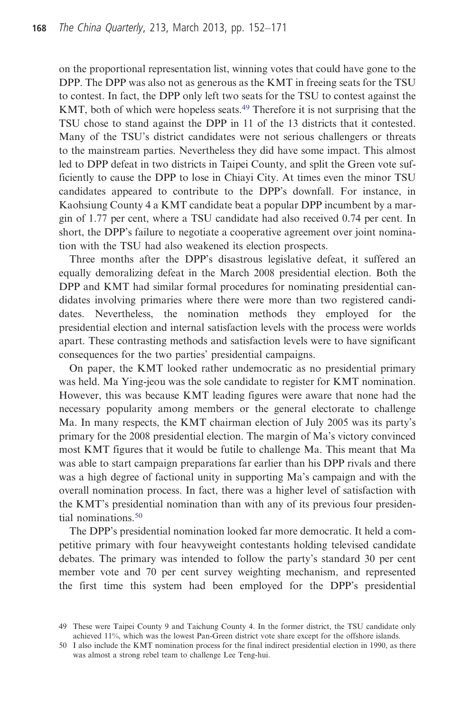on the proportional representation list, winning votes that could have gone to the DPP. The DPP was also not as generous as the KMT in freeing seats for the TSU to contest. In fact, the DPP only left two seats for the TSU to contest against the KMT, both of which were hopeless seats.<sup>49</sup> Therefore it is not surprising that the TSU chose to stand against the DPP in 11 of the 13 districts that it contested. Many of the TSU's district candidates were not serious challengers or threats to the mainstream parties. Nevertheless they did have some impact. This almost led to DPP defeat in two districts in Taipei County, and split the Green vote sufficiently to cause the DPP to lose in Chiayi City. At times even the minor TSU candidates appeared to contribute to the DPP's downfall. For instance, in Kaohsiung County 4 a KMT candidate beat a popular DPP incumbent by a margin of 1.77 per cent, where a TSU candidate had also received 0.74 per cent. In short, the DPP's failure to negotiate a cooperative agreement over joint nomination with the TSU had also weakened its election prospects.

Three months after the DPP's disastrous legislative defeat, it suffered an equally demoralizing defeat in the March 2008 presidential election. Both the DPP and KMT had similar formal procedures for nominating presidential candidates involving primaries where there were more than two registered candidates. Nevertheless, the nomination methods they employed for the presidential election and internal satisfaction levels with the process were worlds apart. These contrasting methods and satisfaction levels were to have significant consequences for the two parties' presidential campaigns.

On paper, the KMT looked rather undemocratic as no presidential primary was held. Ma Ying-jeou was the sole candidate to register for KMT nomination. However, this was because KMT leading figures were aware that none had the necessary popularity among members or the general electorate to challenge Ma. In many respects, the KMT chairman election of July 2005 was its party's primary for the 2008 presidential election. The margin of Ma's victory convinced most KMT figures that it would be futile to challenge Ma. This meant that Ma was able to start campaign preparations far earlier than his DPP rivals and there was a high degree of factional unity in supporting Ma's campaign and with the overall nomination process. In fact, there was a higher level of satisfaction with the KMT's presidential nomination than with any of its previous four presidential nominations.<sup>50</sup>

The DPP's presidential nomination looked far more democratic. It held a competitive primary with four heavyweight contestants holding televised candidate debates. The primary was intended to follow the party's standard 30 per cent member vote and 70 per cent survey weighting mechanism, and represented the first time this system had been employed for the DPP's presidential

<sup>49</sup> These were Taipei County 9 and Taichung County 4. In the former district, the TSU candidate only achieved 11%, which was the lowest Pan-Green district vote share except for the offshore islands.

<sup>50</sup> I also include the KMT nomination process for the final indirect presidential election in 1990, as there was almost a strong rebel team to challenge Lee Teng-hui.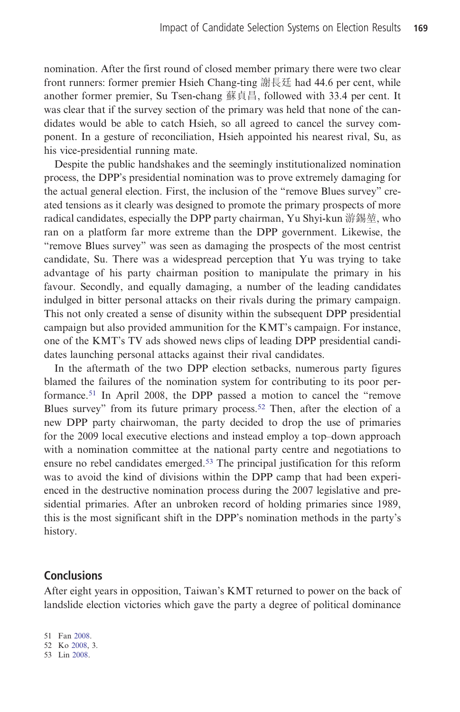nomination. After the first round of closed member primary there were two clear front runners: former premier Hsieh Chang-ting 謝長廷 had 44.6 per cent, while another former premier, Su Tsen-chang 蘇貞昌, followed with 33.4 per cent. It was clear that if the survey section of the primary was held that none of the candidates would be able to catch Hsieh, so all agreed to cancel the survey component. In a gesture of reconciliation, Hsieh appointed his nearest rival, Su, as his vice-presidential running mate.

Despite the public handshakes and the seemingly institutionalized nomination process, the DPP's presidential nomination was to prove extremely damaging for the actual general election. First, the inclusion of the "remove Blues survey" created tensions as it clearly was designed to promote the primary prospects of more radical candidates, especially the DPP party chairman, Yu Shyi-kun 游錫堃, who ran on a platform far more extreme than the DPP government. Likewise, the "remove Blues survey" was seen as damaging the prospects of the most centrist candidate, Su. There was a widespread perception that Yu was trying to take advantage of his party chairman position to manipulate the primary in his favour. Secondly, and equally damaging, a number of the leading candidates indulged in bitter personal attacks on their rivals during the primary campaign. This not only created a sense of disunity within the subsequent DPP presidential campaign but also provided ammunition for the KMT's campaign. For instance, one of the KMT's TV ads showed news clips of leading DPP presidential candidates launching personal attacks against their rival candidates.

In the aftermath of the two DPP election setbacks, numerous party figures blamed the failures of the nomination system for contributing to its poor performance.<sup>51</sup> In April 2008, the DPP passed a motion to cancel the "remove Blues survey" from its future primary process.<sup>52</sup> Then, after the election of a new DPP party chairwoman, the party decided to drop the use of primaries for the 2009 local executive elections and instead employ a top–down approach with a nomination committee at the national party centre and negotiations to ensure no rebel candidates emerged.<sup>53</sup> The principal justification for this reform was to avoid the kind of divisions within the DPP camp that had been experienced in the destructive nomination process during the 2007 legislative and presidential primaries. After an unbroken record of holding primaries since 1989, this is the most significant shift in the DPP's nomination methods in the party's history.

## **Conclusions**

After eight years in opposition, Taiwan's KMT returned to power on the back of landslide election victories which gave the party a degree of political dominance

- 52 Ko 2008, 3.
- 53 Lin 2008.

<sup>51</sup> Fan 2008.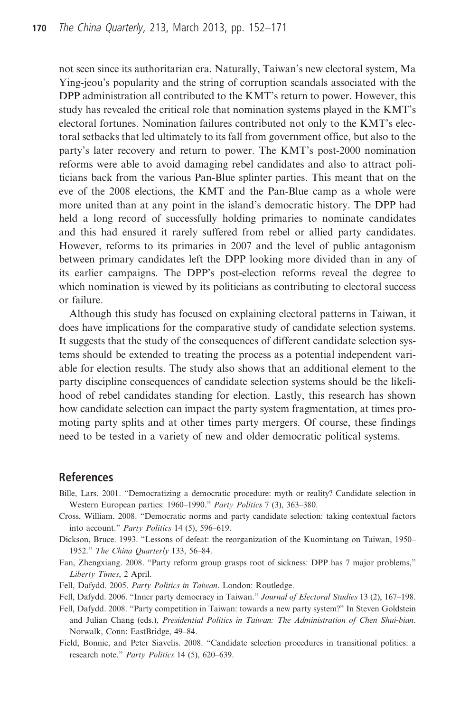not seen since its authoritarian era. Naturally, Taiwan's new electoral system, Ma Ying-jeou's popularity and the string of corruption scandals associated with the DPP administration all contributed to the KMT's return to power. However, this study has revealed the critical role that nomination systems played in the KMT's electoral fortunes. Nomination failures contributed not only to the KMT's electoral setbacks that led ultimately to its fall from government office, but also to the party's later recovery and return to power. The KMT's post-2000 nomination reforms were able to avoid damaging rebel candidates and also to attract politicians back from the various Pan-Blue splinter parties. This meant that on the eve of the 2008 elections, the KMT and the Pan-Blue camp as a whole were more united than at any point in the island's democratic history. The DPP had held a long record of successfully holding primaries to nominate candidates and this had ensured it rarely suffered from rebel or allied party candidates. However, reforms to its primaries in 2007 and the level of public antagonism between primary candidates left the DPP looking more divided than in any of its earlier campaigns. The DPP's post-election reforms reveal the degree to which nomination is viewed by its politicians as contributing to electoral success or failure.

Although this study has focused on explaining electoral patterns in Taiwan, it does have implications for the comparative study of candidate selection systems. It suggests that the study of the consequences of different candidate selection systems should be extended to treating the process as a potential independent variable for election results. The study also shows that an additional element to the party discipline consequences of candidate selection systems should be the likelihood of rebel candidates standing for election. Lastly, this research has shown how candidate selection can impact the party system fragmentation, at times promoting party splits and at other times party mergers. Of course, these findings need to be tested in a variety of new and older democratic political systems.

#### References

- Bille, Lars. 2001. "Democratizing a democratic procedure: myth or reality? Candidate selection in Western European parties: 1960–1990." Party Politics 7 (3), 363–380.
- Cross, William. 2008. "Democratic norms and party candidate selection: taking contextual factors into account." Party Politics 14 (5), 596–619.
- Dickson, Bruce. 1993. "Lessons of defeat: the reorganization of the Kuomintang on Taiwan, 1950– 1952." The China Quarterly 133, 56–84.
- Fan, Zhengxiang. 2008. "Party reform group grasps root of sickness: DPP has 7 major problems," Liberty Times, 2 April.
- Fell, Dafydd. 2005. Party Politics in Taiwan. London: Routledge.
- Fell, Dafydd. 2006. "Inner party democracy in Taiwan." Journal of Electoral Studies 13 (2), 167–198.
- Fell, Dafydd. 2008. "Party competition in Taiwan: towards a new party system?" In Steven Goldstein and Julian Chang (eds.), Presidential Politics in Taiwan: The Administration of Chen Shui-bian. Norwalk, Conn: EastBridge, 49–84.
- Field, Bonnie, and Peter Siavelis. 2008. "Candidate selection procedures in transitional polities: a research note." Party Politics 14 (5), 620–639.